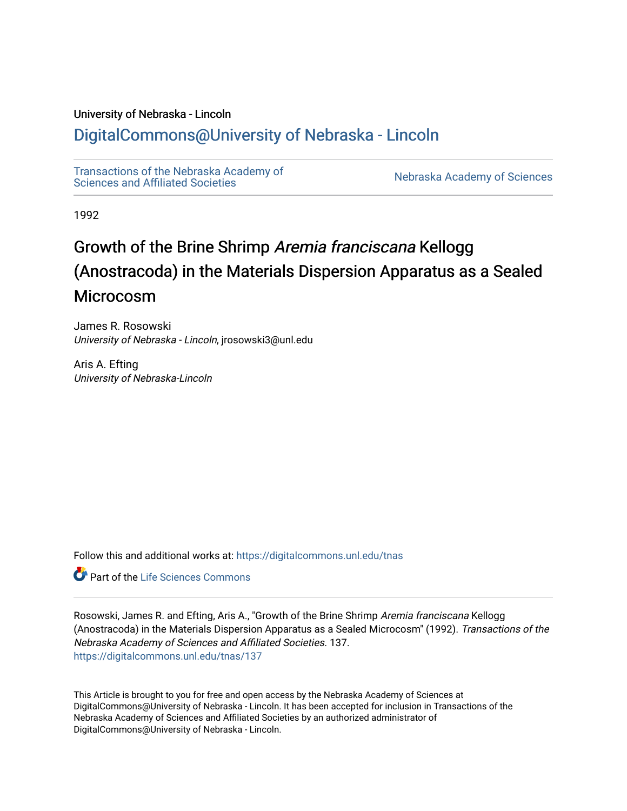## University of Nebraska - Lincoln

## [DigitalCommons@University of Nebraska - Lincoln](https://digitalcommons.unl.edu/)

[Transactions of the Nebraska Academy of](https://digitalcommons.unl.edu/tnas)  Transactions of the Nebraska Academy of Sciences<br>Sciences and Affiliated Societies

1992

# Growth of the Brine Shrimp Aremia franciscana Kellogg (Anostracoda) in the Materials Dispersion Apparatus as a Sealed Microcosm

James R. Rosowski University of Nebraska - Lincoln, jrosowski3@unl.edu

Aris A. Efting University of Nebraska-Lincoln

Follow this and additional works at: [https://digitalcommons.unl.edu/tnas](https://digitalcommons.unl.edu/tnas?utm_source=digitalcommons.unl.edu%2Ftnas%2F137&utm_medium=PDF&utm_campaign=PDFCoverPages) 

**C** Part of the Life Sciences Commons

Rosowski, James R. and Efting, Aris A., "Growth of the Brine Shrimp Aremia franciscana Kellogg (Anostracoda) in the Materials Dispersion Apparatus as a Sealed Microcosm" (1992). Transactions of the Nebraska Academy of Sciences and Affiliated Societies. 137. [https://digitalcommons.unl.edu/tnas/137](https://digitalcommons.unl.edu/tnas/137?utm_source=digitalcommons.unl.edu%2Ftnas%2F137&utm_medium=PDF&utm_campaign=PDFCoverPages) 

This Article is brought to you for free and open access by the Nebraska Academy of Sciences at DigitalCommons@University of Nebraska - Lincoln. It has been accepted for inclusion in Transactions of the Nebraska Academy of Sciences and Affiliated Societies by an authorized administrator of DigitalCommons@University of Nebraska - Lincoln.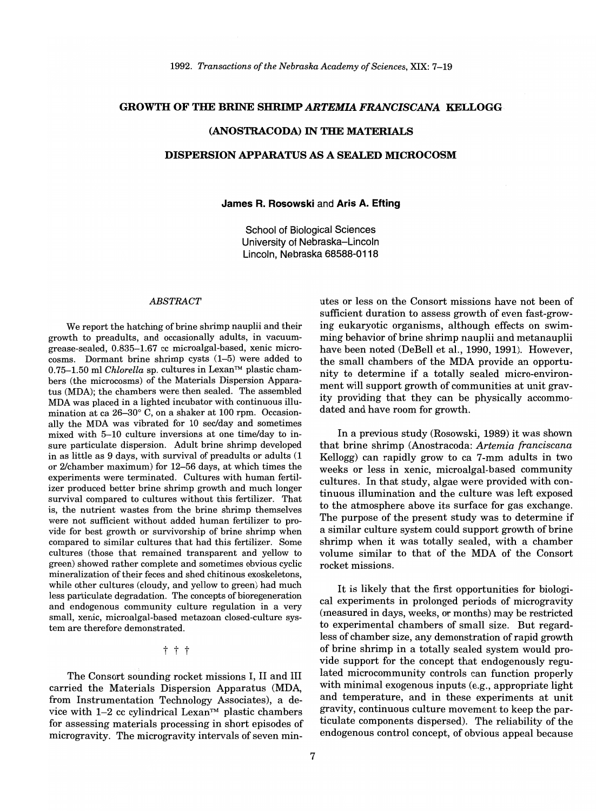## **GROWTH OF THE BRINE SHRIMP** *ARTEMIA FRANCISCAN A* **KELLOGG**

## **(ANOSTRACODA) IN THE MATERIALS**

## **DISPERSION APPARATUS AS A SEALED MICROCOSM**

### **James R. Rosowski** and **Aris A. Efting**

School of Biological Sciences University of Nebraska-Lincoln Lincoln, Nebraska 68588-0118

## *ABSTRACT*

We report the hatching of brine shrimp nauplii and their growth to preadults, and occasionally adults, in vacuumgrease-sealed, 0.835-1.67 cc microalgal-based, xenic microcosms. Dormant brine shrimp cysts (1-5) were added to 0.75-1.50 ml *Chlarella* sp. cultures in Lexan™ plastic chambers (the microcosms) of the Materials Dispersion Apparatus (MDA); the chambers were then sealed. The assembled MDA was placed in a lighted incubator with continuous illumination at ca 26-30° C, on a shaker at 100 rpm. Occasionally the MDA was vibrated for 10 sec/day and sometimes mixed with 5-10 culture inversions at one time/day to insure particulate dispersion. Adult brine shrimp developed in as little as 9 days, with survival of preadults or adults (1 or 2/chamber maximum) for 12-56 days, at which times the experiments were terminated. Cultures with human fertilizer produced better brine shrimp growth and much longer survival compared to cultures without this fertilizer. That is, the nutrient wastes from the brine shrimp themselves were not sufficient without added human fertilizer to provide for best growth or survivorship of brine shrimp when compared to similar cultures that had this fertilizer. Some cultures (those that remained transparent and yellow to green) showed rather complete and sometimes obvious cyclic mineralization of their feces and shed chitinous exoskeletons, while other cultures (cloudy, and yellow to green) had much less particulate degradation. The concepts of bioregeneration and endogenous community culture regulation in a very small, xenic, microalgal-based metazoan closed-culture system are therefore demonstrated.

t t t

The Consort sounding rocket missions I, II and **III**  carried the Materials Dispersion Apparatus (MDA, from Instrumentation Technology Associates), a device with 1-2 cc cylindrical Lexan™ plastic chambers for assessing materials processing in short episodes of microgravity. The microgravity intervals of seven min-

utes or less on the Consort missions have not been of sufficient duration to assess growth of even fast-growing eukaryotic organisms, although effects on swimming behavior of brine shrimp nauplii and metanauplii have been noted (DeBell et aI., 1990, 1991). However, the small chambers of the MDA provide an opportunity to determine if a totally sealed micro-environment will support growth of communities at unit gravity providing that they can be physically accommodated and have room for growth.

In a previous study (Rosowski, 1989) it was shown that brine shrimp (Anostracoda: *Artemia franciscana*  Kellogg) can rapidly grow to ca 7-mm adults in two weeks or less in xenic, microalgal-based community cultures. In that study, algae were provided with continuous illumination and the culture was left exposed to the atmosphere above its surface for gas exchange. The purpose of the present study was to determine if a similar culture system could support growth of brine shrimp when it was totally sealed, with a chamber volume similar to that of the MDA of the Consort rocket missions.

It is likely that the first opportunities for biological experiments in prolonged periods of microgravity (measured in days, weeks, or months) may be restricted to experimental chambers of small size. But regardless of chamber size, any demonstration of rapid growth of brine shrimp in a totally sealed system would provide support for the concept that endogenously regulated microcommunity controls can function properly with minimal exogenous inputs (e.g., appropriate light and temperature, and in these experiments at unit gravity, continuous culture movement to keep the particulate components dispersed). The reliability of the endogenous control concept, of obvious appeal because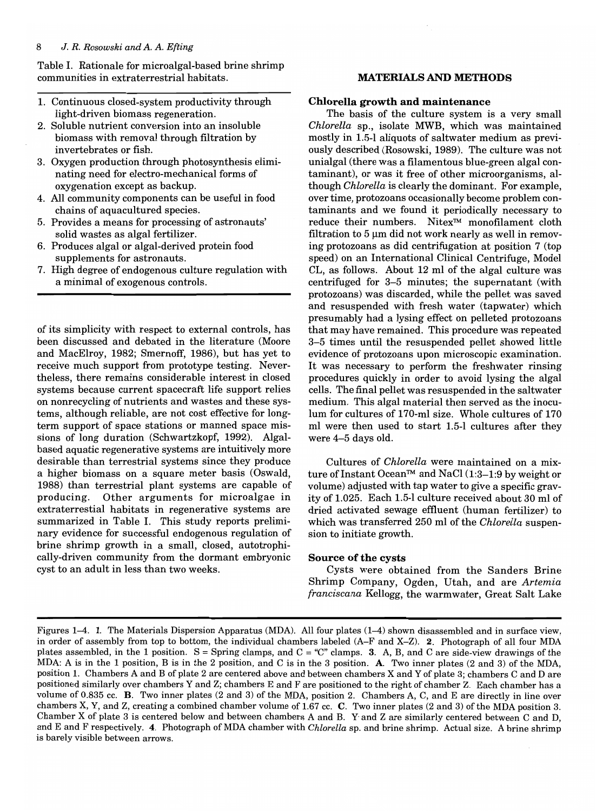## *8* J. *R. Rosowski and A. A. Efting*

Table 1. Rationale for microalgal-based brine shrimp communities in extraterrestrial habitats.

- 1. Continuous closed-system productivity through light-driven biomass regeneration.
- 2. Soluble nutrient conversion into an insoluble biomass with removal through filtration by invertebrates or fish.
- 3. Oxygen production through photosynthesis eliminating need for electro-mechanical forms of oxygenation except as backup.
- 4. All community components can be useful in food chains of aquacultured species.
- 5. Provides a means for processing of astronauts' solid wastes as algal fertilizer.
- 6. Produces algal or algal-derived protein food supplements for astronauts.
- 7. High degree of endogenous culture regulation with a minimal of exogenous controls.

of its simplicity with respect to external controls, has been discussed and debated in the literature (Moore and MacElroy, 1982; Smernoff, 1986), but has yet to receive much support from prototype testing. Nevertheless, there remains considerable interest in closed systems because current spacecraft life support relies on nonrecycling of nutrients and wastes and these systems, although reliable, are not cost effective for longterm support of space stations or manned space missions of long duration (Schwartzkopf, 1992). Algalbased aquatic regenerative systems are intuitively more desirable than terrestrial systems since they produce a higher biomass on a square meter basis (Oswald, 1988) than terrestrial plant systems are capable of producing. Other arguments for microalgae in extraterrestial habitats in regenerative systems are summarized in Table 1. This study reports preliminary evidence for successful endogenous regulation of brine shrimp growth in a small, closed, autotrophically-driven community from the dormant embryonic cyst to an adult in less than two weeks.

## MATERIALS AND METHODS

## Chlorella growth and maintenance

The basis of the culture system is a very small *Chlarella* sp., isolate MWB, which was maintained mostly in 1.5-1 aliquots of saltwater medium as previously described (Rosowski, 1989). The culture was not unialgal (there was a filamentous blue-green algal contaminant), or was it free of other microorganisms, although *Chlarella* is clearly the dominant. For example, over time, protozoans occasionally become problem contaminants and we found it periodically necessary to reduce their numbers. Nitex™ monofilament cloth filtration to  $5 \mu m$  did not work nearly as well in removing protozoans as did centrifugation at position 7 (top speed) on an International Clinical Centrifuge, Model CL, as follows. About 12 ml of the algal culture was centrifuged for 3-5 minutes; the supernatant (with protozoans) was discarded, while the pellet was saved and resuspended with fresh water (tapwater) which presumably had a lysing effect on pelleted protozoans that may have remained. This procedure was repeated 3-5 times until the resuspended pellet showed little evidence of protozoans upon microscopic examination. It was necessary to perform the freshwater rinsing procedures quickly in order to avoid lysing the algal cells. The final pellet was resuspended in the saltwater medium. This algal material then served as the inoculum for cultures of 170-ml size. Whole cultures of 170 ml were then used to start  $1.5$ -l cultures after they were 4-5 days old.

Cultures of *Chlarella* were maintained on a mixture of Instant Ocean™ and NaCl (1:3-1:9 by weight or volume) adjusted with tap water to give a specific gravity of 1.025. Each 1.5-1 culture received about 30 ml of dried activated sewage effluent (human fertilizer) to which was transferred 250 ml of the *Chlorella* suspension to initiate growth.

## Source of the cysts

Cysts were obtained from the Sanders Brine Shrimp Company, Ogden, Utah, and are *Artemia franciscana* Kellogg, the warmwater, Great Salt Lake

Figures 1-4. 1. The Materials Dispersion Apparatus (MDA). All four plates (1-4) shown disassembled and in surface view, in order of assembly from top to bottom, the individual chambers labeled (A-F and X-Z). 2. Photograph of all four MDA plates assembled, in the 1 position.  $S =$  Spring clamps, and  $C =$  "C" clamps. 3. A, B, and C are side-view drawings of the MDA: A is in the 1 position, B is in the 2 position, and C is in the 3 position. A. Two inner plates (2 and 3) of the MDA, position 1. Chambers A and B of plate 2 are centered above and between chambers X and Y of plate 3; chambers C and Dare positioned similarly over chambers Y and Z; chambers E and F are positioned to the right of chamber Z. Each chamber has a volume of 0.835 cc. B. Two inner plates (2 and 3) of the MDA, position 2. Chambers A, C, and E are directly in line over chambers X, Y, and Z, creating a combined chamber volume of 1.67 cc. C. Two inner plates (2 and 3) of the MDA position 3. Chamber X of plate 3 is centered below and between chambers A and B. Y and Z are similarly centered between C and D, and E and F respectively. 4. Photograph of MDA chamber with *Chlorella* sp. and brine shrimp. Actual size. A brine shrimp is barely visible between arrows.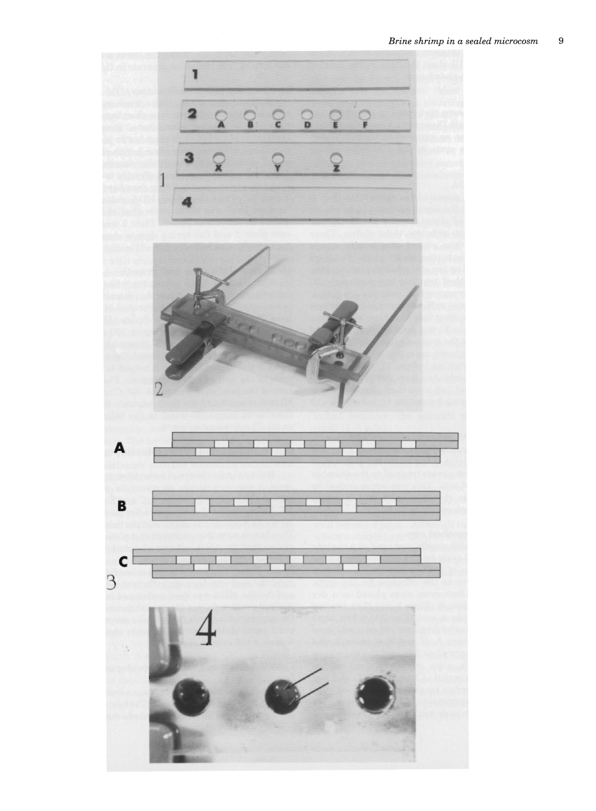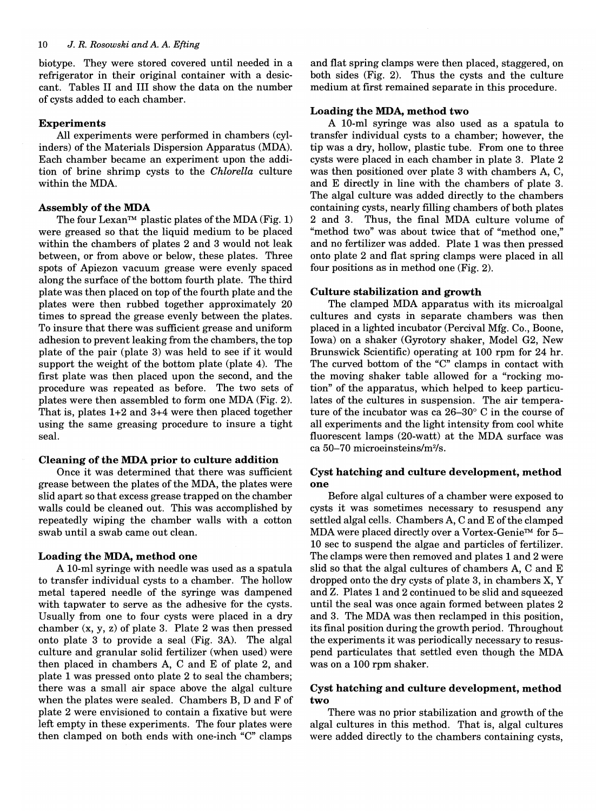biotype. They were stored covered until needed in a refrigerator in their original container with a desiccant. Tables II and III show the data on the number of cysts added to each chamber.

#### Experiments

All experiments were performed in chambers (cylinders) of the Materials Dispersion Apparatus (MDA). Each chamber became an experiment upon the addition of brine shrimp cysts to the *Chlarella* culture within the MDA.

## Assembly of the MDA

The four Lexan™ plastic plates of the MDA (Fig. 1) were greased so that the liquid medium to be placed within the chambers of plates 2 and 3 would not leak between, or from above or below, these plates. Three spots of Apiezon vacuum grease were evenly spaced along the surface of the bottom fourth plate. The third plate was then placed on top of the fourth plate and the plates were then rubbed together approximately 20 times to spread the grease evenly between the plates. To insure that there was sufficient grease and uniform adhesion to prevent leaking from the chambers, the top plate of the pair (plate 3) was held to see if it would support the weight of the bottom plate (plate 4). The first plate was then placed upon the second, and the procedure was repeated as before. The two sets of plates were then assembled to form one MDA (Fig. 2). That is, plates 1+2 and 3+4 were then placed together using the same greasing procedure to insure a tight seal.

## Cleaning of the MDA prior to culture addition

Once it was determined that there was sufficient grease between the plates of the MDA, the plates were slid apart so that excess grease trapped on the chamber walls could be cleaned out. This was accomplished by repeatedly wiping the chamber walls with a cotton swab until a swab came out clean.

## Loading the MDA, method one

A 10-ml syringe with needle was used as a spatula to transfer individual cysts to a chamber. The hollow metal tapered needle of the syringe was dampened with tapwater to serve as the adhesive for the cysts. Usually from one to four cysts were placed in a dry chamber (x, y, z) of plate 3. Plate 2 was then pressed onto plate 3 to provide a seal (Fig. 3A). The algal culture and granular solid fertilizer (when used) were then placed in chambers A, C and E of plate 2, and plate 1 was pressed onto plate 2 to seal the chambers; there was a small air space above the algal culture when the plates were sealed. Chambers B, D and F of plate 2 were envisioned to contain a fixative but were left empty in these experiments. The four plates were then clamped on both ends with one-inch "C" clamps

and flat spring clamps were then placed, staggered, on both sides (Fig. 2). Thus the cysts and the culture medium at first remained separate in this procedure.

## Loading the MDA, method two

A 10-ml syringe was also used as a spatula to transfer individual cysts to a chamber; however, the tip was a dry, hollow, plastic tube. From one to three cysts were placed in each chamber in plate 3. Plate 2 was then positioned over plate 3 with chambers A, C, and E directly in line with the chambers of plate 3. The algal culture was added directly to the chambers containing cysts, nearly filling chambers of both plates 2 and 3. Thus, the final MDA culture volume of "method two" was about twice that of "method one," and no fertilizer was added. Plate 1 was then pressed onto plate 2 and flat spring clamps were placed in all four positions as in method one (Fig. 2).

#### Culture stabilization and growth

The clamped MDA apparatus with its microalgal cultures and cysts in separate chambers was then placed in a lighted incubator (Percival Mfg. Co., Boone, Iowa) on a shaker (Gyrotory shaker, Model G2, New Brunswick Scientific) operating at 100 rpm for 24 hr. The curved bottom of the "C" clamps in contact with the moving shaker table allowed for a "rocking motion" of the apparatus, which helped to keep particulates of the cultures in suspension. The air temperature of the incubator was ca 26-30° C in the course of all experiments and the light intensity from cool white fluorescent lamps (20-watt) at the MDA surface was ca 50-70 microeinsteins/m2/s.

## Cyst hatching and culture development, method one

Before algal cultures of a chamber were exposed to cysts it was sometimes necessary to resuspend any settled algal cells. Chambers A, C and E of the clamped MDA were placed directly over a Vortex-Genie™ for 5- 10 sec to suspend the algae and particles of fertilizer. The clamps were then removed and plates 1 and 2 were slid so that the algal cultures of chambers A, C and E dropped onto the dry cysts of plate 3, in chambers X, Y and Z. Plates 1 and 2 continued to be slid and squeezed until the seal was once again formed between plates 2 and 3. The MDA was then reclamped in this position, its final position during the growth period. Throughout the experiments it was periodically necessary to resuspend particulates that settled even though the MDA was on a 100 rpm shaker.

## Cyst hatching and culture development, method two

There was no prior stabilization and growth of the algal cultures in this method. That is, algal cultures were added directly to the chambers containing cysts,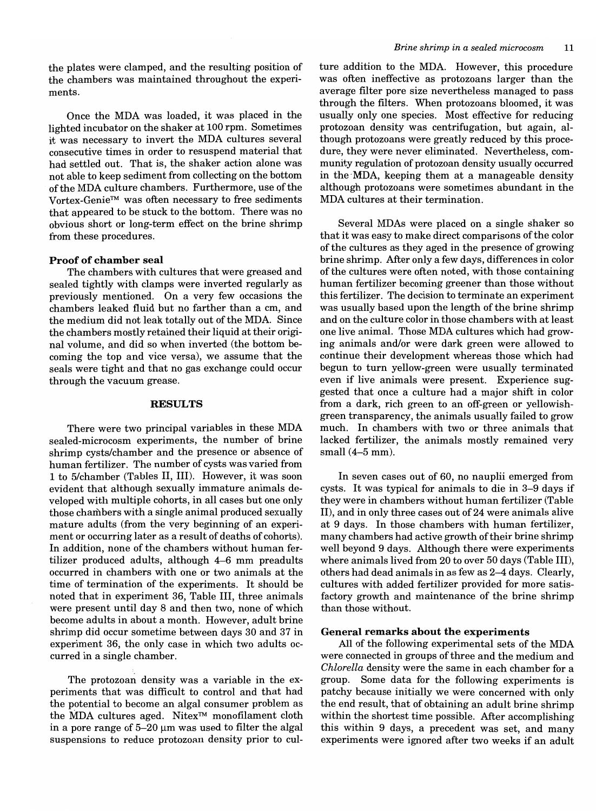the plates were clamped, and the resulting position of the chambers was maintained throughout the experiments.

Once the MDA was loaded, it was placed in the lighted incubator on the shaker at 100 rpm. Sometimes it was necessary to invert the MDA cultures several consecutive times in order to resuspend material that had settled out. That is, the shaker action alone was not able to keep sediment from collecting on the bottom of the MDA culture chambers. Furthermore, use of the Vortex-Genie™ was often necessary to free sediments that appeared to be stuck to the bottom. There was no obvious short or long-term effect on the brine shrimp from these procedures.

## **Proof of chamber seal**

The chambers with cultures that were greased and sealed tightly with clamps were inverted regularly as previously mentioned. On a very few occasions the chambers leaked fluid but no farther than a cm, and the medium did not leak totally out of the MDA. Since the chambers mostly retained their liquid at their original volume, and did so when inverted (the bottom becoming the top and vice versa), we assume that the seals were tight and that no gas exchange could occur through the vacuum grease.

#### **RESULTS**

There were two principal variables in these MDA sealed-microcosm experiments, the number of brine shrimp cysts/chamber and the presence or absence of human fertilizer. The number of cysts was varied from 1 to 5/chamber (Tables II, III). However, it was soon evident that although sexually immature animals developed with multiple cohorts, in all cases but one only those chambers with a single animal produced sexually mature adults (from the very beginning of an experiment or occurring later as a result of deaths of cohorts). In addition, none of the chambers without human fertilizer produced adults, although 4-6 mm preadults occurred in chambers with one or two animals at the time of termination of the experiments. It should be noted that in experiment 36, Table III, three animals were present until day 8 and then two, none of which become adults in about a month. However, adult brine shrimp did occur sometime between days 30 and 37 in experiment 36, the only case in which two adults occurred in a single chamber.

The protozoan density was a variable in the experiments that was difficult to control and that had the potential to become an algal consumer problem as the MDA cultures aged. Nitex™ monofilament cloth in a pore range of  $5-20 \mu m$  was used to filter the algal suspensions to reduce protozoan density prior to culture addition to the MDA. However, this procedure was often ineffective as protozoans larger than the average filter pore size nevertheless managed to pass through the filters. When protozoans bloomed, it was usually only one species. Most effective for reducing protozoan density was centrifugation, but again, although protozoans were greatly reduced by this procedure, they were never eliminated. Nevertheless, community regulation of protozoan density usually occurred in the' MDA, keeping them at a manageable density although protozoans were sometimes abundant in the MDA cultures at their termination.

Several MDAs were placed on a single shaker so that it was easy to make direct comparisons of the color of the cultures as they aged in the presence of growing brine shrimp. After only a few days, differences in color of the cultures were often noted, with those containing human fertilizer becoming greener than those without this fertilizer. The decision to terminate an experiment was usually based upon the length of the brine shrimp and on the culture color in those chambers with at least one live animal. Those MDA cultures which had growing animals and/or were dark green were allowed to continue their development whereas those which had begun to turn yellow-green were usually terminated even if live animals were present. Experience suggested that once a culture had a major shift in color from a dark, rich green to an off-green or yellowishgreen transparency, the animals usually failed to grow much. In chambers with two or three animals that lacked fertilizer, the animals mostly remained very small (4-5 mm).

In seven cases out of 60, no nauplii emerged from cysts. It was typical for animals to die in 3-9 days if they were in chambers without human fertilizer (Table II), and in only three cases out of 24 were animals alive at 9 days. In those chambers with human fertilizer, many chambers had active growth of their brine shrimp well beyond 9 days. Although there were experiments where animals lived from 20 to over 50 days (Table III), others had dead animals in as few as 2-4 days. Clearly, cultures with added fertilizer provided for more satisfactory growth and maintenance of the brine shrimp than those without.

#### **General remarks about the experiments**

All of the following experimental sets of the MDA were connected in groups of three and the medium and *Chlorella* density were the same in each chamber for a group. Some data for the following experiments is patchy because initially we were concerned with only the end result, that of obtaining an adult brine shrimp within the shortest time possible. After accomplishing this within 9 days, a precedent was set, and many experiments were ignored after two weeks if an adult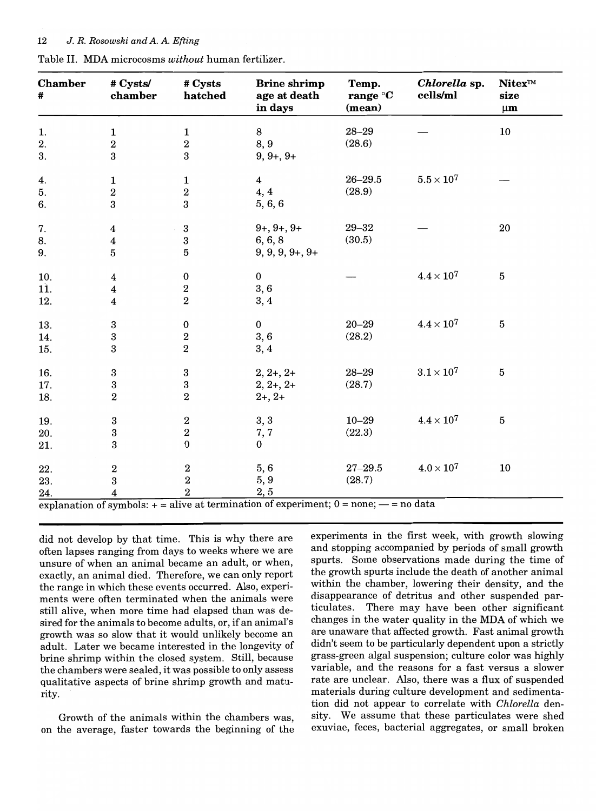| <b>Chamber</b><br># | # Cysts/<br>chamber     | # Cysts<br>hatched      | <b>Brine shrimp</b><br>age at death<br>in days | Temp.<br>range °C<br>(mean) | Chlorella sp.<br>cells/ml | $\mathbf{N}$ itex <sup>TM</sup><br>size<br>$\mu$ m |
|---------------------|-------------------------|-------------------------|------------------------------------------------|-----------------------------|---------------------------|----------------------------------------------------|
| 1.                  | $\mathbf{1}$            | $\mathbf{1}$            | $\bf 8$                                        | $28 - 29$                   |                           | 10                                                 |
| 2.                  | $\bf 2$                 | $\,2$                   | 8, 9                                           | (28.6)                      |                           |                                                    |
| 3.                  | 3                       | 3                       | $9, 9+, 9+$                                    |                             |                           |                                                    |
| 4.                  | $\mathbf{1}$            | 1                       | $\overline{\mathbf{4}}$                        | $26 - 29.5$                 | $5.5\times10^7$           |                                                    |
| 5.                  | $\bf{2}$                | $\,2$                   | 4, 4                                           | (28.9)                      |                           |                                                    |
| 6.                  | 3                       | $\bf{3}$                | 5, 6, 6                                        |                             |                           |                                                    |
| 7.                  | $\boldsymbol{4}$        | $\bf{3}$                | $9+, 9+, 9+$                                   | $29 - 32$                   |                           | 20                                                 |
| 8.                  | $\overline{\mathbf{4}}$ | $\bf 3$                 | 6, 6, 8                                        | (30.5)                      |                           |                                                    |
| 9.                  | 5                       | $\bf 5$                 | $9, 9, 9, 9+, 9+$                              |                             |                           |                                                    |
| 10.                 | 4                       | $\pmb{0}$               | $\boldsymbol{0}$                               |                             | $4.4\times10^7$           | $\bf 5$                                            |
| 11.                 | $\boldsymbol{4}$        | $\boldsymbol{2}$        | 3, 6                                           |                             |                           |                                                    |
| 12.                 | $\overline{\mathbf{4}}$ | $\overline{2}$          | 3,4                                            |                             |                           |                                                    |
| 13.                 | $\,3$                   | $\pmb{0}$               | $\boldsymbol{0}$                               | $20 - 29$                   | $4.4\times10^7$           | $\bf 5$                                            |
| 14.                 | 3                       | $\,2$                   | 3, 6                                           | (28.2)                      |                           |                                                    |
| 15.                 | 3                       | $\bf 2$                 | 3,4                                            |                             |                           |                                                    |
| 16.                 | 3                       | $\boldsymbol{3}$        | $2, 2+, 2+$                                    | $28 - 29$                   | $3.1\times10^7$           | $\bf 5$                                            |
| 17.                 | $\bf{3}$                | $\bf 3$                 | $2, 2+, 2+$                                    | (28.7)                      |                           |                                                    |
| 18.                 | $\bf 2$                 | $\mathbf 2$             | $2+, 2+$                                       |                             |                           |                                                    |
| 19.                 | $\boldsymbol{3}$        | $\,2$                   | 3, 3                                           | $10 - 29$                   | $4.4\times10^7$           | $\bf 5$                                            |
| 20.                 | $\boldsymbol{3}$        | $\,2$                   | 7, 7                                           | (22.3)                      |                           |                                                    |
| 21.                 | $\boldsymbol{3}$        | $\boldsymbol{0}$        | $\bf{0}$                                       |                             |                           |                                                    |
| 22.                 | $\boldsymbol{2}$        | $\,2$                   | 5,6                                            | $27 - 29.5$                 | $4.0\times10^7$           | 10                                                 |
| 23.                 | $\bf 3$                 | $\bf 2$                 | 5, 9                                           | (28.7)                      |                           |                                                    |
| 24.                 | $\boldsymbol{4}$        | $\overline{\mathbf{2}}$ | 2, 5                                           |                             |                           |                                                    |

Table II. MDA microcosms *without* human fertilizer.

explanation of symbols:  $+$  = alive at termination of experiment;  $0$  = none;  $-$  = no data

did not develop by that time. This is why there are often lapses ranging from days to weeks where we are unsure of when an animal became an adult, or when, exactly, an animal died. Therefore, we can only report the range in which these events occurred. Also, experiments were often terminated when the animals were still alive, when more time had elapsed than was desired for the animals to become adults, or, if an animal's growth was so slow that it would unlikely become an adult. Later we became interested in the longevity of brine shrimp within the closed system. Still, because the chambers were sealed, it was possible to only assess qualitative aspects of brine shrimp growth and maturity.

Growth of the animals within the chambers was, on the average, faster towards the beginning of the experiments in the first week, with growth slowing and stopping accompanied by periods of small growth spurts. Some observations made during the time of the growth spurts include the death of another animal within the chamber, lowering their density, and the disappearance of detritus and other suspended particulates. There may have been other significant changes in the water quality in the MDA of which we are unaware that affected growth. Fast animal growth didn't seem to be particularly dependent upon a strictly grass-green algal suspension; culture color was highly variable, and the reasons for a fast versus a slower rate are unclear. Also, there was a flux of suspended materials during culture development and sedimentation did not appear to correlate with *Chlorella* density. We assume that these particulates were shed exuviae, feces, bacterial aggregates, or small broken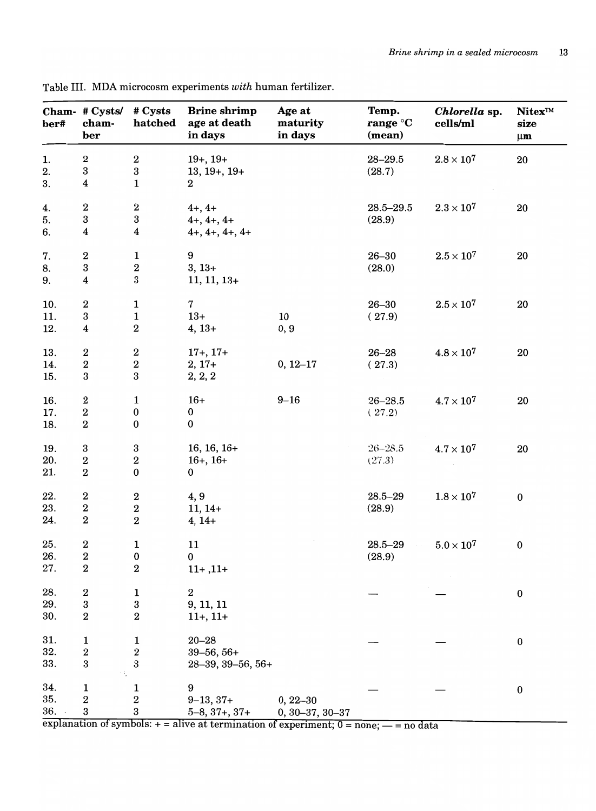| ber# | Cham- # Cysts/<br>cham-<br>ber | # Cysts<br>hatched      | <b>Brine shrimp</b><br>age at death<br>in days | Age at<br>maturity<br>in days                                                                           | Temp.<br>range °C<br>(mean) | Chlorella sp.<br>cells/ml | $N$ itex <sup>TM</sup><br>size<br>$\mu$ m |
|------|--------------------------------|-------------------------|------------------------------------------------|---------------------------------------------------------------------------------------------------------|-----------------------------|---------------------------|-------------------------------------------|
| 1.   | $\boldsymbol{2}$               | $\boldsymbol{2}$        | $19+, 19+$                                     |                                                                                                         | $28 - 29.5$                 | $2.8\times10^7$           | 20                                        |
| 2.   | $\bf{3}$                       | $\bf{3}$                | $13, 19+, 19+$                                 |                                                                                                         | (28.7)                      |                           |                                           |
| 3.   | $\overline{\mathbf{4}}$        | $\mathbf{1}$            | $\bf{2}$                                       |                                                                                                         |                             |                           |                                           |
| 4.   | $\bf{2}$                       | $\boldsymbol{2}$        | $4+, 4+$                                       |                                                                                                         | $28.5 - 29.5$               | $2.3 \times 10^7$         | 20                                        |
| 5.   | $\bf{3}$                       | $\bf{3}$                | $4+, 4+, 4+$                                   |                                                                                                         | (28.9)                      |                           |                                           |
| 6.   | $\boldsymbol{4}$               | $\overline{\mathbf{4}}$ | $4+, 4+, 4+, 4+$                               |                                                                                                         |                             |                           |                                           |
| 7.   | $\bf{2}$                       | $\mathbf 1$             | 9                                              |                                                                                                         | $26 - 30$                   | $2.5\times10^7$           | 20                                        |
| 8.   | $\bf{3}$                       | $\bf{2}$                | $3, 13+$                                       |                                                                                                         | (28.0)                      |                           |                                           |
| 9.   | $\bf{4}$                       | 3                       | $11, 11, 13+$                                  |                                                                                                         |                             |                           |                                           |
| 10.  | $\bf{2}$                       | $\mathbf{1}$            | 7                                              |                                                                                                         | $26 - 30$                   | $2.5 \times 10^7$         | 20                                        |
| 11.  | $\bf 3$                        | $\mathbf{1}$            | $13+$                                          | 10                                                                                                      | (27.9)                      |                           |                                           |
| 12.  | $\overline{\mathbf{4}}$        | $\bf{2}$                | $4, 13+$                                       | 0, 9                                                                                                    |                             |                           |                                           |
| 13.  | $\bf{2}$                       | $\boldsymbol{2}$        | $17+, 17+$                                     |                                                                                                         | $26 - 28$                   | $4.8 \times 10^7$         | 20                                        |
| 14.  | $\bf{2}$                       | $\frac{2}{3}$           | $2, 17+$                                       | $0, 12 - 17$                                                                                            | (27.3)                      |                           |                                           |
| 15.  | $\bf{3}$                       |                         | 2, 2, 2                                        |                                                                                                         |                             |                           |                                           |
| 16.  | $\bf{2}$                       | 1                       | $16+$                                          | $9 - 16$                                                                                                | $26 - 28.5$                 | $4.7 \times 10^7$         | 20                                        |
| 17.  | $\bf 2$                        | $\pmb{0}$               | 0                                              |                                                                                                         | (27.2)                      |                           |                                           |
| 18.  | $\bf 2$                        | $\pmb{0}$               | $\bf{0}$                                       |                                                                                                         |                             |                           |                                           |
| 19.  | $\bf{3}$                       | $\bf{3}$                | $16, 16, 16+$                                  |                                                                                                         | $26 - 28.5$                 | $4.7 \times 10^7$         | 20                                        |
| 20.  | $\bf{2}$                       | $\bf{2}$                | $16+, 16+$                                     |                                                                                                         | (27.3)                      |                           |                                           |
| 21.  | $\bf 2$                        | $\pmb{0}$               | 0                                              |                                                                                                         |                             |                           |                                           |
| 22.  | $\bf{2}$                       | $\bf{2}$                | 4, 9                                           |                                                                                                         | $28.5 - 29$                 | $1.8 \times 10^7$         | $\pmb{0}$                                 |
| 23.  | $\bf 2$                        | $\frac{2}{2}$           | $11, 14+$                                      |                                                                                                         | (28.9)                      |                           |                                           |
| 24.  | $\bf 2$                        |                         | $4, 14+$                                       |                                                                                                         |                             |                           |                                           |
| 25.  | $\bf{2}$                       | $\mathbf 1$             | 11                                             |                                                                                                         | $28.5 - 29$                 | $5.0 \times 10^7$         | $\pmb{0}$                                 |
| 26.  | $\boldsymbol{2}$               | $\pmb{0}$               | $\pmb{0}$                                      |                                                                                                         | (28.9)                      |                           |                                           |
| 27.  | $\bf{2}$                       | 2                       | $11+, 11+$                                     |                                                                                                         |                             |                           |                                           |
| 28.  | $\boldsymbol{2}$               | 1                       | $\,2$                                          |                                                                                                         |                             |                           | $\boldsymbol{0}$                          |
| 29.  | 3                              | 3                       | 9, 11, 11                                      |                                                                                                         |                             |                           |                                           |
| 30.  | $\overline{\mathbf{2}}$        | $\bf 2$                 | $11+, 11+$                                     |                                                                                                         |                             |                           |                                           |
| 31.  | 1                              | 1                       | $20 - 28$                                      |                                                                                                         |                             |                           | $\boldsymbol{0}$                          |
| 32.  | $\overline{\mathbf{2}}$        | 2                       | $39 - 56, 56 +$                                |                                                                                                         |                             |                           |                                           |
| 33.  | 3                              | 3                       | $28 - 39, 39 - 56, 56 +$                       |                                                                                                         |                             |                           |                                           |
| 34.  | 1                              | 1                       | 9                                              |                                                                                                         |                             |                           | $\boldsymbol{0}$                          |
| 35.  | 2                              | $\boldsymbol{2}$        | $9 - 13, 37 +$                                 | $0, 22 - 30$                                                                                            |                             |                           |                                           |
| 36.  | 3                              | 3                       | $5-8, 37+$ , $37+$                             | $0, 30 - 37, 30 - 37$<br>explanation of symbols: $\pm$ = alive at termination of experiment: $0 =$ none |                             |                           |                                           |

Table III. MDA microcosm experiments *with* human fertilizer.

ilanation of symbols: + = alive at termination of experiment; 0 = none; -- = no data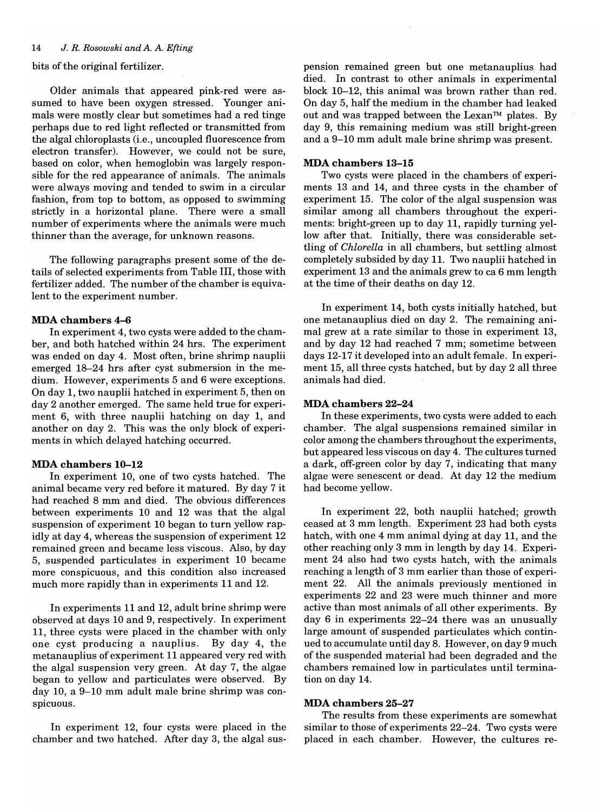## 14 J. R. *Rosowski and A. A. Efting*

bits of the original fertilizer.

Older animals that appeared pink-red were assumed to have been oxygen stressed. Younger animals were mostly clear but sometimes had a red tinge perhaps due to red light reflected or transmitted from the algal chloroplasts (i.e., uncoupled fluorescence from electron transfer). However, we could not be sure, based on color, when hemoglobin was largely responsible for the red appearance of animals. The animals were always moving and tended to swim in a circular fashion, from top to bottom, as opposed to swimming strictly in a horizontal plane. There were a small number of experiments where the animals were much thinner than the average, for unknown reasons.

The following paragraphs present some of the details of selected experiments from Table III, those with fertilizer added. The number of the chamber is equivalent to the experiment number.

## MDA chambers 4-6

In experiment 4, two cysts were added to the chamber, and both hatched within 24 hrs. The experiment was ended on day 4. Most often, brine shrimp nauplii emerged 18-24 hrs after cyst submersion in the medium. However, experiments 5 and 6 were exceptions. On day 1, two nauplii hatched in experiment 5, then on day 2 another emerged. The same held true for experiment 6, with three nauplii hatching on day 1, and another on day 2. This was the only block of experiments in which delayed hatching occurred.

#### MDA chambers 10-12

In experiment 10, one of two cysts hatched. The animal became very red before it matured. By day 7 it had reached 8 mm and died. The obvious differences between experiments 10 and 12 was that the algal suspension of experiment 10 began to turn yellow rapidly at day 4, whereas the suspension of experiment 12 remained green and became less viscous. Also, by day 5, suspended particulates in experiment 10 became more conspicuous, and this condition also increased much more rapidly than in experiments 11 and 12.

In experiments 11 and 12, adult brine shrimp were observed at days 10 and 9, respectively. In experiment 11, three cysts were placed in the chamber with only one cyst producing a nauplius. By day 4, the metanauplius of experiment 11 appeared very red with the algal suspension very green. At day 7, the algae began to yellow and particulates were observed. By day 10, a 9-10 mm adult male brine shrimp was conspicuous.

In experiment 12, four cysts were placed in the chamber and two hatched. After day 3, the algal suspension remained green but one metanauplius had died. In contrast to other animals in experimental block 10-12, this animal was brown rather than red. On day 5, half the medium in the chamber had leaked out and was trapped between the Lexan™ plates. By day 9, this remaining medium was still bright-green and a 9-10 mm adult male brine shrimp was present.

## MDA chambers 13-15

Two cysts were placed in the chambers of experiments 13 and 14, and three cysts in the chamber of experiment 15. The color of the algal suspension was similar among all chambers throughout the experiments: bright-green up to day 11, rapidly turning yellow after that. Initially, there was considerable settling of *Chlorella* in all chambers, but settling almost completely subsided by day 11. Two nauplii hatched in experiment 13 and the animals grew to ca 6 mm length at the time of their deaths on day 12.

In experiment 14, both cysts initially hatched, but one metanauplius died on day 2. The remaining animal grew at a rate similar to those in experiment 13, and by day 12 had reached 7 mm; sometime between days 12-17 it developed into an adult female. In experiment 15, all three cysts hatched, but by day 2 all three animals had died.

#### MDA chambers 22-24

In these experiments, two cysts were added to each chamber. The algal suspensions remained similar in color among the chambers throughout the experiments, but appeared less viscous on day 4. The cultures turned a dark, off-green color by day 7, indicating that many algae were senescent or dead. At day 12 the medium had become yellow.

In experiment 22, both nauplii hatched; growth ceased at 3 mm length. Experiment 23 had both cysts hatch, with one 4 mm animal dying at day 11, and the other reaching only 3 mm in length by day 14. Experiment 24 also had two cysts hatch, with the animals reaching a length of 3 mm earlier than those of experiment 22. All the animals previously mentioned in experiments 22 and 23 were much thinner and more active than most animals of all other experiments. By day 6 in experiments 22-24 there was an unusually large amount of suspended particulates which continued to accumulate until day 8. However, on day 9 much of the suspended material had been degraded and the chambers remained low in particulates until termination on day 14.

## MDA chambers 25-27

The results from these experiments are somewhat similar to those of experiments 22-24. Two cysts were placed in each chamber. However, the cultures re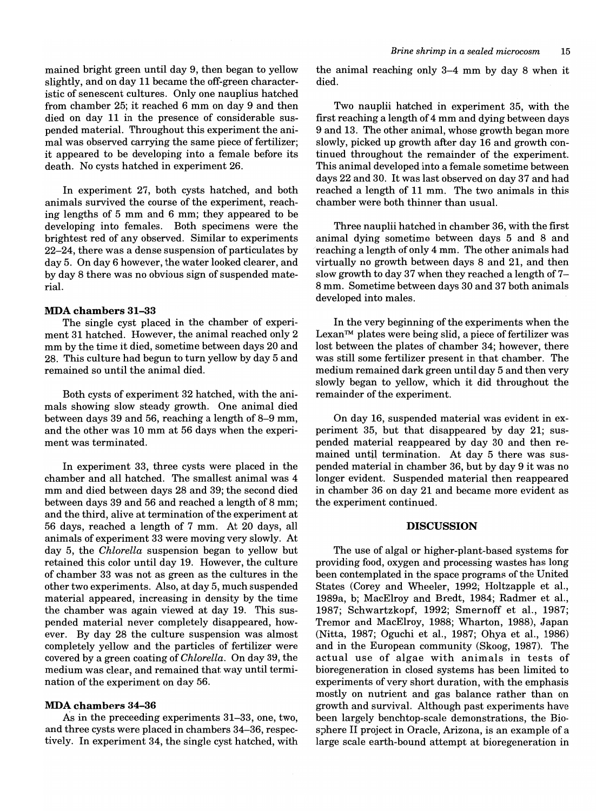mained bright green until day 9, then began to yellow slightly, and on day 11 became the off-green characteristic of senescent cultures. Only one nauplius hatched from chamber 25; it reached 6 mm on day 9 and then died on day 11 in the presence of considerable suspended material. Throughout this experiment the animal was observed carrying the same piece of fertilizer; it appeared to be developing into a female before its death. No cysts hatched in experiment 26.

In experiment 27, both cysts hatched, and both animals survived the course of the experiment, reaching lengths of 5 mm and 6 mm; they appeared to be developing into females. Both specimens were the brightest red of any observed. Similar to experiments 22-24, there was a dense suspension of particulates by day 5. On day 6 however, the water looked clearer, and by day 8 there was no obvious sign of suspended material.

### MDA chambers 31-33

The single cyst placed in the chamber of experiment 31 hatched. However, the animal reached only 2 mm by the time it died, sometime between days 20 and 28. This culture had begun to turn yellow by day 5 and remained so until the animal died.

Both cysts of experiment 32 hatched, with the animals showing slow steady growth. One animal died between days 39 and 56, reaching a length of 8-9 mm, and the other was 10 mm at 56 days when the experiment was terminated.

In experiment 33, three cysts were placed in the chamber and all hatched. The smallest animal was 4 mm and died between days 28 and 39; the second died between days 39 and 56 and reached a length of 8 mm; and the third, alive at termination of the experiment at 56 days, reached a length of 7 mm. At 20 days, all animals of experiment 33 were moving very slowly. At day 5, the *Chlorella* suspension began to yellow but retained this color until day 19. However, the culture of chamber 33 was not as green as the cultures in the other two experiments. Also, at day 5, much suspended material appeared, increasing in density by the time the chamber was again viewed at day 19. This suspended material never completely disappeared, however. By day 28 the culture suspension was almost completely yellow and the particles of fertilizer were covered by a green coating of *Chiarella.* On day 39, the medium was clear, and remained that way until termination of the experiment on day 56.

#### MDA chambers 34-36

As in the preceeding experiments 31-33, one, two, and three cysts were placed in chambers 34-36, respectively. In experiment 34, the single cyst hatched, with the animal reaching only 3-4 mm by day 8 when it died.

Two nauplii hatched in experiment 35, with the first reaching a length of 4 mm and dying between days 9 and 13. The other animal, whose growth began more slowly, picked up growth after day 16 and growth continued throughout the remainder of the experiment. This animal developed into a female sometime between days 22 and 30. It was last observed on day 37 and had reached a length of 11 mm. The two animals in this chamber were both thinner than usual.

Three nauplii hatched in chamber 36, with the first animal dying sometime between days 5 and 8 and reaching a length of only 4 mm. The other animals had virtually no growth between days 8 and 21, and then slow growth to day 37 when they reached a length of 7- 8 mm. Sometime between days 30 and 37 both animals developed into males.

In the very beginning of the experiments when the Lexan™ plates were being slid, a piece of fertilizer was lost between the plates of chamber 34; however, there was still some fertilizer present in that chamber. The medium remained dark green until day 5 and then very slowly began to yellow, which it did throughout the remainder of the experiment.

On day 16, suspended material was evident in experiment 35, but that disappeared by day 21; suspended material reappeared by day 30 and then remained until termination. At day 5 there was suspended material in chamber 36, but by day 9 it was no longer evident. Suspended material then reappeared in chamber 36 on day 21 and became more evident as the experiment continued.

## DISCUSSION

The use of algal or higher-plant-based systems for providing food, oxygen and processing wastes has long been contemplated in the space programs of the United States (Corey and Wheeler, 1992; Holtzapple et aI., 1989a, b; MacElroy and Bredt, 1984; Radmer et aI., 1987; Schwartzkopf, 1992; Smernoff et aI., 1987; Tremor and MacElroy, 1988; Wharton, 1988), Japan (Nitta, 1987; Oguchi et aI., 1987; Ohya et aI., 1986) and in the European community (Skoog, 1987). The actual use of algae with animals in tests of bioregeneration in closed systems has been limited to experiments of very short duration, with the emphasis mostly on nutrient and gas balance rather than on growth and survival. Although past experiments have been largely benchtop-scale demonstrations, the Biosphere II project in Oracle, Arizona, is an example of a large scale earth-bound attempt at bioregeneration in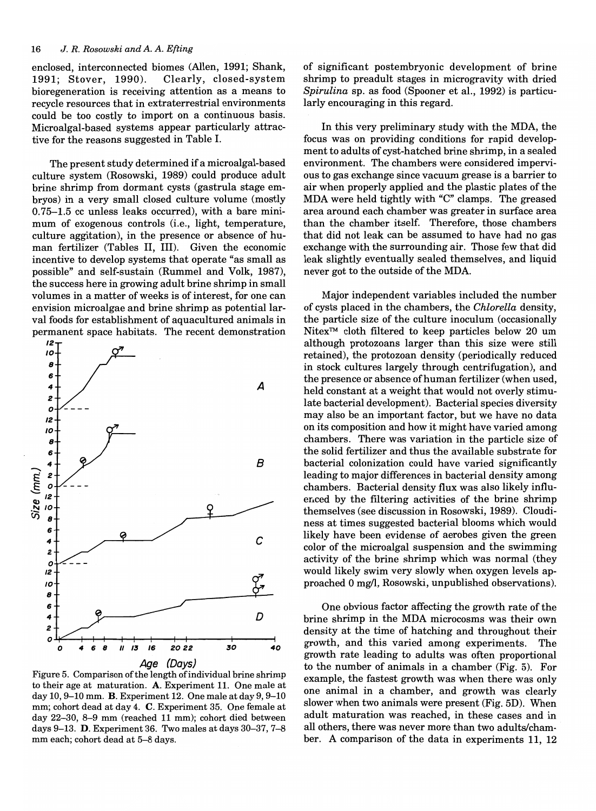enclosed, interconnected biomes (Allen, 1991; Shank, 1991; Stover, 1990). Clearly, closed-system bioregeneration is receiving attention as a means to recycle resources that in extraterrestrial environments could be too costly to import on a continuous basis. Microalgal-based systems appear particularly attractive for the reasons suggested in Table I.

The present study determined if a microalgal-based culture system (Rosowski, 1989) could produce adult brine shrimp from dormant cysts (gastrula stage embryos) in a very small closed culture volume (mostly 0.75-1.5 cc unless leaks occurred), with a bare minimum of exogenous controls (i.e., light, temperature, culture aggitation), in the presence or absence of human fertilizer (Tables II, III). Given the economic incentive to develop systems that operate "as small as possible" and self-sustain (Rummel and Yolk, 1987), the success here in growing adult brine shrimp in small volumes in a matter of weeks is of interest, for one can envision microalgae and brine shrimp as potential larval foods for establishment of aquacultured animals in permanent space habitats. The recent demonstration



Figure 5. Comparison of the length of individual brine shrimp to their age at maturation. A. Experiment 11. One male at day  $10, 9-10$  mm. **B**. Experiment 12. One male at day  $9, 9-10$ mm; cohort dead at day 4. C. Experiment 35. One female at day 22-30, 8-9 mm (reached 11 mm); cohort died between days 9-13. D. Experiment 36. Two males at days 30-37, 7-8 mm each; cohort dead at 5-8 days.

of significant postembryonic development of brine shrimp to preadult stages in microgravity with dried *Spirulina* sp. as food (Spooner et aI., 1992) is particularly encouraging in this regard.

In this very preliminary study with the MDA, the focus was on providing conditions for rapid development to adults of cyst-hatched brine shrimp, in a sealed environment. The chambers were considered impervious to gas exchange since vacuum grease is a barrier to air when properly applied and the plastic plates of the MDA were held tightly with "C" clamps. The greased area around each chamber was greater in surface area than the chamber itself. Therefore, those chambers that did not leak can be assumed to have had no gas exchange with the surrounding air. Those few that did leak slightly eventually sealed themselves, and liquid never got to the outside of the MDA.

Major independent variables included the number of cysts placed in the chambers, the *Chiorella* density, the particle size of the culture inoculum (occasionally Nitex™ cloth filtered to keep particles below 20 um although protozoans larger than this size were still retained), the protozoan density (periodically reduced in stock cultures largely through centrifugation), and the presence or absence of human fertilizer (when used, held constant at a weight that would not overly stimulate bacterial development). Bacterial species diversity may also be an important factor, but we have no data on its composition and how it might have varied among chambers. There was variation in the particle size of the solid fertilizer and thus the available substrate for bacterial colonization could have varied significantly leading to major differences in bacterial density among chambers. Bacterial density flux was also likely influenced by the filtering activities of the brine shrimp themselves (see discussion in Rosowski, 1989). Cloudiness at times suggested bacterial blooms which would likely have been evidense of aerobes given the green color of the microalgal suspension and the swimming activity of the brine shrimp which was normal (they would likely swim very slowly when oxygen levels approached 0 mg/l, Rosowski, unpublished observations).

One obvious factor affecting the growth rate of the brine shrimp in the MDA microcosms was their own density at the time of hatching and throughout their growth, and this varied among experiments. The growth rate leading to adults was often proportional to the number of animals in a chamber (Fig. 5). For example, the fastest growth was when there was only one animal in a chamber, and growth was clearly slower when two animals were present (Fig. 5D). When adult maturation was reached, in these cases and in all others, there was never more than two adults/chamber. A comparison of the data in experiments 11, 12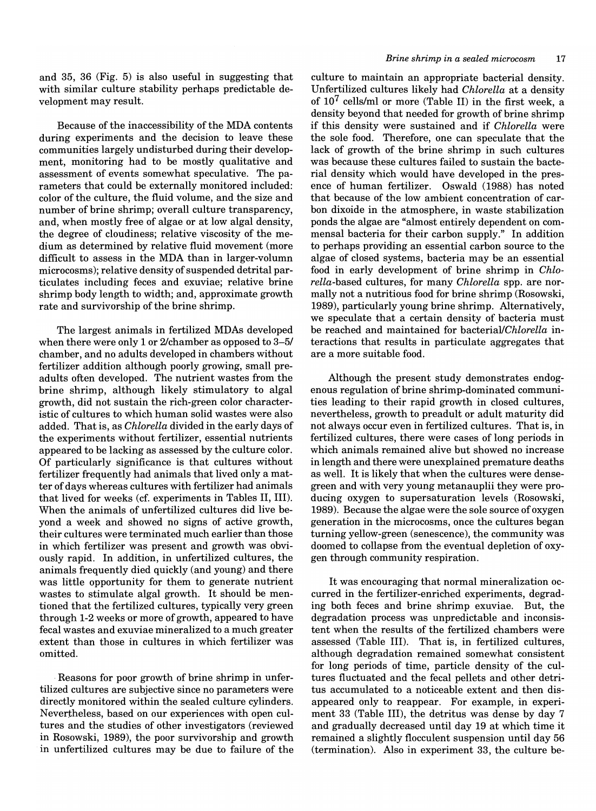and 35, 36 (Fig. 5) is also useful in suggesting that with similar culture stability perhaps predictable development may result.

Because of the inaccessibility of the MDA contents during experiments and the decision to leave these communities largely undisturbed during their development, monitoring had to be mostly qualitative and assessment of events somewhat speculative. The parameters that could be externally monitored included: color of the culture, the fluid volume, and the size and number of brine shrimp; overall culture transparency, and, when mostly free of algae or at low algal density, the degree of cloudiness; relative viscosity of the medium as determined by relative fluid movement (more difficult to assess in the MDA than in larger-volumn microcosms); relative density of suspended detrital particulates including feces and exuviae; relative brine shrimp body length to width; and, approximate growth rate and survivorship of the brine shrimp.

The largest animals in fertilized MDAs developed when there were only 1 or 2/chamber as opposed to 3-5/ chamber, and no adults developed in chambers without fertilizer addition although poorly growing, small preadults often developed. The nutrient wastes from the brine shrimp, although likely stimulatory to algal growth, did not sustain the rich-green color characteristic of cultures to which human solid wastes were also added. That is, as *Chlorella* divided in the early days of the experiments without fertilizer, essential nutrients appeared to be lacking as assessed by the culture color. Of particularly significance is that cultures without fertilizer frequently had animals that lived only a matter of days whereas cultures with fertilizer had animals that lived for weeks (cf. experiments in Tables II, III). When the animals of unfertilized cultures did live beyond a week and showed no signs of active growth, their cultures were terminated much earlier than those in which fertilizer was present and growth was obviously rapid. In addition, in unfertilized cultures, the animals frequently died quickly (and young) and there was little opportunity for them to generate nutrient wastes to stimulate algal growth. It should be mentioned that the fertilized cultures, typically very green through 1-2 weeks or more of growth, appeared to have fecal wastes and exuviae mineralized to a much greater extent than those in cultures in which fertilizer was omitted.

. Reasons for poor growth of brine shrimp in unfertilized cultures are subjective since no parameters were directly monitored within the sealed culture cylinders. Nevertheless, based on our experiences with open cultures and the studies of other investigators (reviewed in Rosowski, 1989), the poor survivorship and growth in unfertilized cultures may be due to failure of the culture to maintain an appropriate bacterial density. Unfertilized cultures likely had *Chlorella* at a density of  $10^7$  cells/ml or more (Table II) in the first week, a density beyond that needed for growth of brine shrimp if this density were sustained and if *Chlorella* were the sole food. Therefore, one can speculate that the lack of growth of the brine shrimp in such cultures was because these cultures failed to sustain the bacterial density which would have developed in the presence of human fertilizer. Oswald (1988) has noted that because of the low ambient concentration of carbon dixoide in the atmosphere, in waste stabilization ponds the algae are "almost entirely dependent on commensal bacteria for their carbon supply." In addition to perhaps providing an essential carbon source to the algae of closed systems, bacteria may be an essential food in early development of brine shrimp in *Chlorella-based* cultures, for many *Chlorella* spp. are normally not a nutritious food for brine shrimp (Rosowski, 1989), particularly young brine shrimp. Alternatively, we speculate that a certain density of bacteria must be reached and maintained for *bacterial/Chlorella* interactions that results in particulate aggregates that are a more suitable food.

Although the present study demonstrates endogenous regulation of brine shrimp-dominated communities leading to their rapid growth in closed cultures, nevertheless, growth to preadult or adult maturity did not always occur even in fertilized cultures. That is, in fertilized cultures, there were cases of long periods in which animals remained alive but showed no increase in length and there were unexplained premature deaths as well. It is likely that when the cultures were densegreen and with very young metanauplii they were producing oxygen to supersaturation levels (Rosowski, 1989). Because the algae were the sole source of oxygen generation in the microcosms, once the cultures began turning yellow-green (senescence), the community was doomed to collapse from the eventual depletion of oxygen through community respiration.

It was encouraging that normal mineralization occurred in the fertilizer-enriched experiments, degrading both feces and brine shrimp exuviae. But, the degradation process was unpredictable and inconsistent when the results of the fertilized chambers were assessed (Table III). That is, in fertilized cultures, although degradation remained somewhat consistent for long periods of time, particle density of the cultures fluctuated and the fecal pellets and other detritus accumulated to a noticeable extent and then disappeared only to reappear. For example, in experiment 33 (Table III), the detritus was dense by day 7 and gradually decreased until day 19 at which time it remained a slightly flocculent suspension until day 56 (termination). Also in experiment 33, the culture be-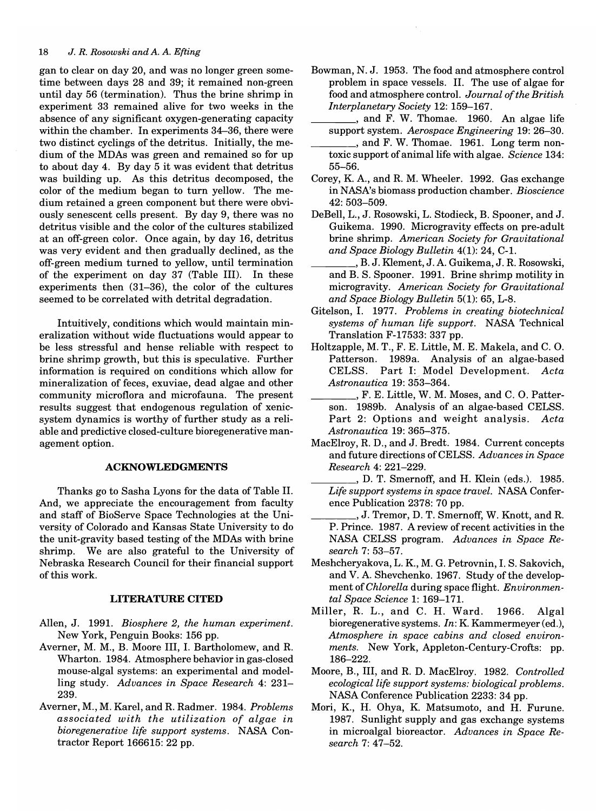## *18 J.* R. *Rosowski and* A. A. *Efting*

gan to clear on day 20, and was no longer green sometime between days 28 and 39; it remained non-green until day 56 (termination). Thus the brine shrimp in experiment 33 remained alive for two weeks in the absence of any significant oxygen-generating capacity within the chamber. In experiments 34-36, there were two distinct cyclings of the detritus. Initially, the medium of the MDAs was green and remained so for up to about day 4. By day 5 it was evident that detritus was building up. As this detritus decomposed, the color of the medium began to turn yellow. The medium retained a green component but there were obviously senescent cells present. By day 9, there was no detritus visible and the color of the cultures stabilized at an off-green color. Once again, by day 16, detritus was very evident and then gradually declined, as the off-green medium turned to yellow, until termination of the experiment on day 37 (Table III). In these experiments then (31-36), the color of the cultures seemed to be correlated with detrital degradation.

Intuitively, conditions which would maintain mineralization without wide fluctuations would appear to be less stressful and hense reliable with respect to brine shrimp growth, but this is speculative. Further information is required on conditions which allow for mineralization of feces, exuviae, dead algae and other community microflora and microfauna. The present results suggest that endogenous regulation of xenicsystem dynamics is worthy of further study as a reliable and predictive closed-culture bioregenerative management option.

## **ACKNOWLEDGMENTS**

Thanks go to Sasha Lyons for the data of Table II. And, we appreciate the encouragement from faculty and staff of BioServe Space Technologies at the University of Colorado and Kansas State University to do the unit-gravity based testing of the MDAs with brine shrimp. We are also grateful to the University of Nebraska Research Council for their financial support of this work.

## **LITERATURE CITED**

- Allen., J. 1991. *Biosphere* 2, *the human experiment.*  New York, Penguin Books: 156 pp.
- Averner, M. M., B. Moore III, I. Bartholomew, and R. Wharton. 1984. Atmosphere behavior in gas-closed mouse-algal systems: an experimental and modelling study. *Advances in Space Research* 4: 231- 239.
- Averner, M., M. Karel, and R. Radmer. 1984. *Problems associated with the utilization of algae in bioregenerative life support systems.* NASA Contractor Report 166615: 22 pp.
- Bowman, N. J. 1953. The food and atmosphere control problem in space vessels. II. The use of algae for food and atmosphere control. *Journal of the British Interplanetary Society* 12: 159-167.
- \_\_\_\_ :, and F. W. Thomae. 1960. An algae life support system. *Aerospace Engineering* 19: 26-30. ., and F. W. Thomae. 1961. Long term nontoxic support of animal life with algae. *Science 134:*  55-56.
- Corey, K. A., and R. M. Wheeler. 1992. Gas exchange in NASA's biomass production chamber. *Bioscience*  42: 503-509.
- DeBell, L., J. Rosowski, L. Stodieck, B. Spooner, and J. Guikema. 1990. Microgravity effects on pre-adult brine shrimp. *American Society for Gravitational and Space Biology Bulletin* 4(1): 24, C-1.
- \_\_\_\_ , B. J. Klement, J. A Guikema, J. R. Rosowski, and B. S. Spooner. 1991. Brine shrimp motility in microgravity. *American Society for Gravitational and Space Biology Bulletin* 5(1): 65, L-8.
- Gitelson, I. 1977. *Problems in creating biotechnical systems of human life support.* NASA Technical Translation F-17533: 337 pp.
- Holtzapple, M. T., F. E. Little, M. E. Makela, and C. O. Patterson. 1989a. Analysis of an algae-based CELSS. Part I: Model Development. Acta *Astronautica* 19: 353-364.
- \_\_\_\_ :, F. E. Little, W. M. Moses, and C. O. Patterson. 1989b. Analysis of an algae-based CELSS. Part 2: Options and weight analysis. *Acta Astronautica* 19: 365-375.
- MacElroy, R. D., and J. Bredt. 1984. Current concepts and future directions ofCELSS. *Advances in Space Research* 4: 221-229.
	- \_\_\_\_ , D. T. Smernoff, and H. Klein (eds.). 1985. *Life support systems in space travel.* NASA Conference Publication 2378: 70 pp.
- \_\_\_\_ , J. Tremor, D. T. Smernoff, W. Knott, and R. P. Prince. 1987. A review of recent activities in the NASA CELSS program. *Advances in Space Research* 7: 53-57.
- Meshcheryakova, L. K, M. G. Petrovnin, I. S. Sakovich, and V. A Shevchenko. 1967. Study of the development of *Chlorella* during space flight. *Environmental Space Science* 1: 169-171.
- Miller, R. L., and C. H. Ward. 1966. Algal bioregenerative systems. *In*: K. Kammermeyer (ed.), *Atmosphere in space cabins and closed environments.* New York, Appleton-Century-Crofts: pp. 186-222.
- Moore, B., III, and R. D. MacElroy. 1982. *Controlled ecological life support systems: biological problems.*  NASA Conference Publication 2233: 34 pp.
- Mori, K, H. Ohya, K Matsumoto, and H. Furune. 1987. Sunlight supply and gas exchange systems in microalgal bioreactor. Advances in Space Re*search* 7: 47-52.